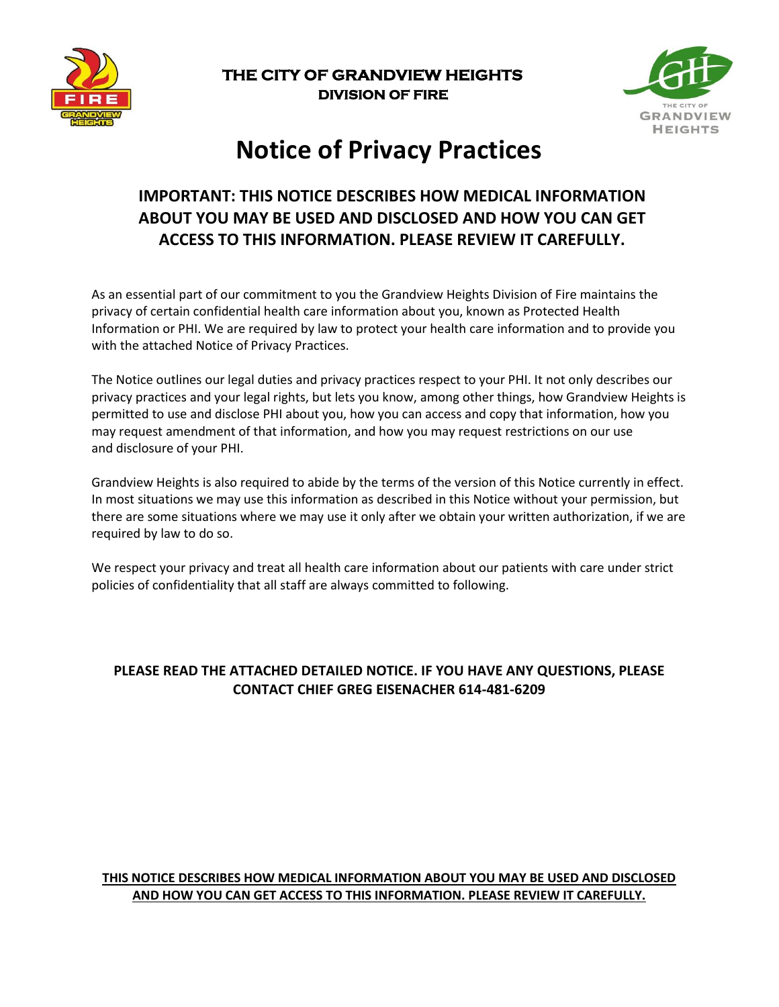

## **THE CITY OF GRANDVIEW HEIGHTS DIVISION OF FIRE**



# **Notice of Privacy Practices**

# **IMPORTANT: THIS NOTICE DESCRIBES HOW MEDICAL INFORMATION ABOUT YOU MAY BE USED AND DISCLOSED AND HOW YOU CAN GET ACCESS TO THIS INFORMATION. PLEASE REVIEW IT CAREFULLY.**

As an essential part of our commitment to you the Grandview Heights Division of Fire maintains the privacy of certain confidential health care information about you, known as Protected Health Information or PHI. We are required by law to protect your health care information and to provide you with the attached Notice of Privacy Practices.

The Notice outlines our legal duties and privacy practices respect to your PHI. It not only describes our privacy practices and your legal rights, but lets you know, among other things, how Grandview Heights is permitted to use and disclose PHI about you, how you can access and copy that information, how you may request amendment of that information, and how you may request restrictions on our use and disclosure of your PHI.

Grandview Heights is also required to abide by the terms of the version of this Notice currently in effect. In most situations we may use this information as described in this Notice without your permission, but there are some situations where we may use it only after we obtain your written authorization, if we are required by law to do so.

We respect your privacy and treat all health care information about our patients with care under strict policies of confidentiality that all staff are always committed to following.

# **PLEASE READ THE ATTACHED DETAILED NOTICE. IF YOU HAVE ANY QUESTIONS, PLEASE CONTACT CHIEF GREG EISENACHER 614-481-6209**

#### **THIS NOTICE DESCRIBES HOW MEDICAL INFORMATION ABOUT YOU MAY BE USED AND DISCLOSED AND HOW YOU CAN GET ACCESS TO THIS INFORMATION. PLEASE REVIEW IT CAREFULLY.**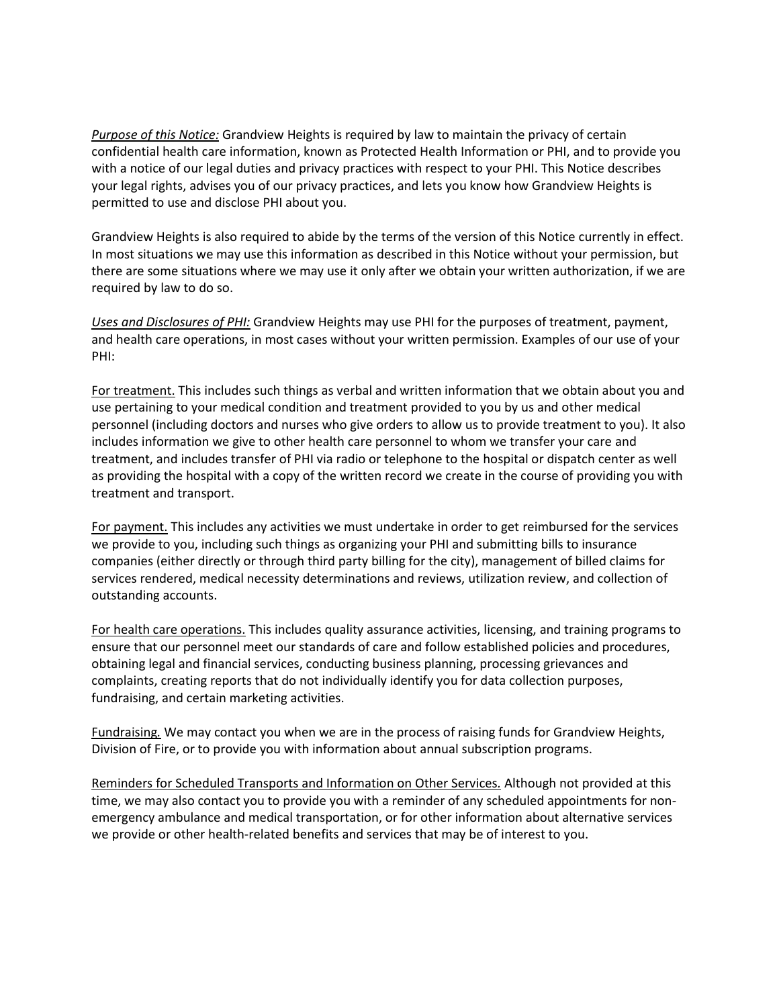*Purpose of this Notice:* Grandview Heights is required by law to maintain the privacy of certain confidential health care information, known as Protected Health Information or PHI, and to provide you with a notice of our legal duties and privacy practices with respect to your PHI. This Notice describes your legal rights, advises you of our privacy practices, and lets you know how Grandview Heights is permitted to use and disclose PHI about you.

Grandview Heights is also required to abide by the terms of the version of this Notice currently in effect. In most situations we may use this information as described in this Notice without your permission, but there are some situations where we may use it only after we obtain your written authorization, if we are required by law to do so.

*Uses and Disclosures of PHI:* Grandview Heights may use PHI for the purposes of treatment, payment, and health care operations, in most cases without your written permission. Examples of our use of your PHI:

For treatment. This includes such things as verbal and written information that we obtain about you and use pertaining to your medical condition and treatment provided to you by us and other medical personnel (including doctors and nurses who give orders to allow us to provide treatment to you). It also includes information we give to other health care personnel to whom we transfer your care and treatment, and includes transfer of PHI via radio or telephone to the hospital or dispatch center as well as providing the hospital with a copy of the written record we create in the course of providing you with treatment and transport.

For payment. This includes any activities we must undertake in order to get reimbursed for the services we provide to you, including such things as organizing your PHI and submitting bills to insurance companies (either directly or through third party billing for the city), management of billed claims for services rendered, medical necessity determinations and reviews, utilization review, and collection of outstanding accounts.

For health care operations. This includes quality assurance activities, licensing, and training programs to ensure that our personnel meet our standards of care and follow established policies and procedures, obtaining legal and financial services, conducting business planning, processing grievances and complaints, creating reports that do not individually identify you for data collection purposes, fundraising, and certain marketing activities.

Fundraising*.* We may contact you when we are in the process of raising funds for Grandview Heights, Division of Fire, or to provide you with information about annual subscription programs.

Reminders for Scheduled Transports and Information on Other Services*.* Although not provided at this time, we may also contact you to provide you with a reminder of any scheduled appointments for nonemergency ambulance and medical transportation, or for other information about alternative services we provide or other health-related benefits and services that may be of interest to you.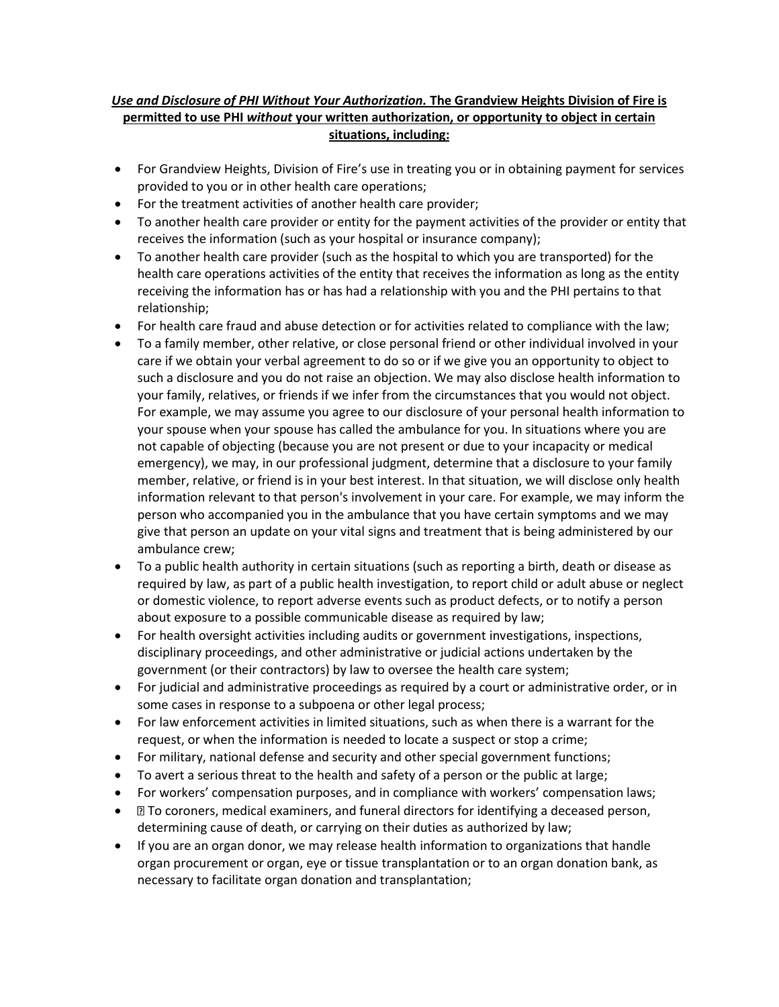## *Use and Disclosure of PHI Without Your Authorization.* **The Grandview Heights Division of Fire is permitted to use PHI** *without* **your written authorization, or opportunity to object in certain situations, including:**

- For Grandview Heights, Division of Fire's use in treating you or in obtaining payment for services provided to you or in other health care operations;
- For the treatment activities of another health care provider;
- To another health care provider or entity for the payment activities of the provider or entity that receives the information (such as your hospital or insurance company);
- To another health care provider (such as the hospital to which you are transported) for the health care operations activities of the entity that receives the information as long as the entity receiving the information has or has had a relationship with you and the PHI pertains to that relationship;
- For health care fraud and abuse detection or for activities related to compliance with the law;
- To a family member, other relative, or close personal friend or other individual involved in your care if we obtain your verbal agreement to do so or if we give you an opportunity to object to such a disclosure and you do not raise an objection. We may also disclose health information to your family, relatives, or friends if we infer from the circumstances that you would not object. For example, we may assume you agree to our disclosure of your personal health information to your spouse when your spouse has called the ambulance for you. In situations where you are not capable of objecting (because you are not present or due to your incapacity or medical emergency), we may, in our professional judgment, determine that a disclosure to your family member, relative, or friend is in your best interest. In that situation, we will disclose only health information relevant to that person's involvement in your care. For example, we may inform the person who accompanied you in the ambulance that you have certain symptoms and we may give that person an update on your vital signs and treatment that is being administered by our ambulance crew;
- To a public health authority in certain situations (such as reporting a birth, death or disease as required by law, as part of a public health investigation, to report child or adult abuse or neglect or domestic violence, to report adverse events such as product defects, or to notify a person about exposure to a possible communicable disease as required by law;
- For health oversight activities including audits or government investigations, inspections, disciplinary proceedings, and other administrative or judicial actions undertaken by the government (or their contractors) by law to oversee the health care system;
- For judicial and administrative proceedings as required by a court or administrative order, or in some cases in response to a subpoena or other legal process;
- For law enforcement activities in limited situations, such as when there is a warrant for the request, or when the information is needed to locate a suspect or stop a crime;
- For military, national defense and security and other special government functions;
- To avert a serious threat to the health and safety of a person or the public at large;
- For workers' compensation purposes, and in compliance with workers' compensation laws;
- $\Box$  To coroners, medical examiners, and funeral directors for identifying a deceased person, determining cause of death, or carrying on their duties as authorized by law;
- If you are an organ donor, we may release health information to organizations that handle organ procurement or organ, eye or tissue transplantation or to an organ donation bank, as necessary to facilitate organ donation and transplantation;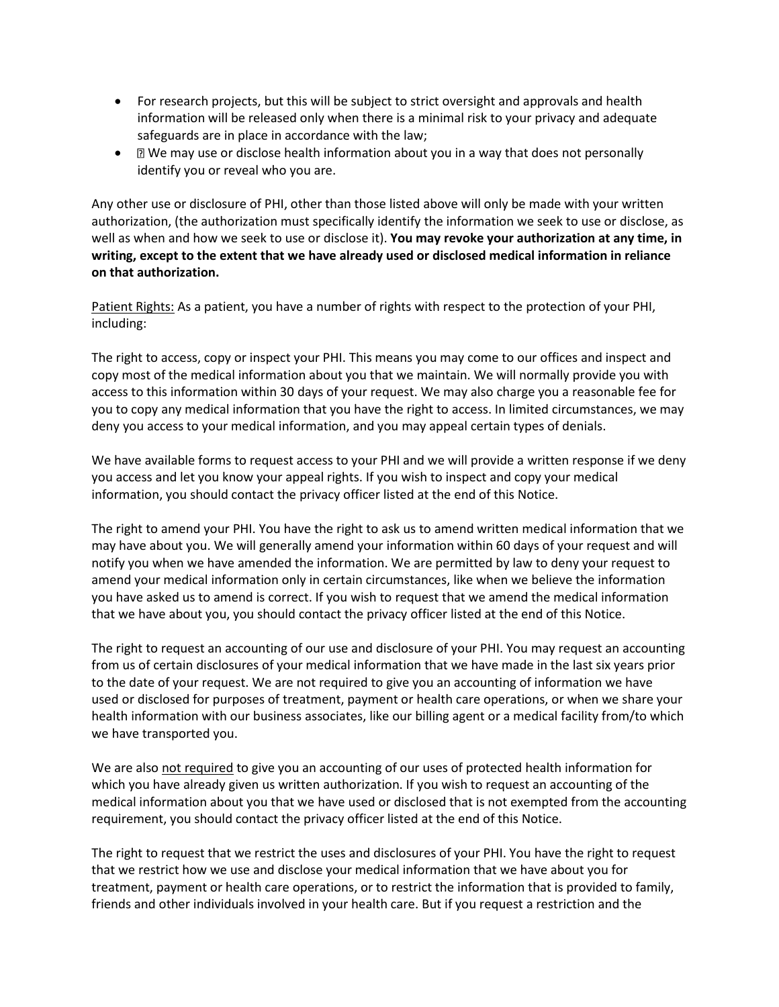- For research projects, but this will be subject to strict oversight and approvals and health information will be released only when there is a minimal risk to your privacy and adequate safeguards are in place in accordance with the law;
- $\Box$  We may use or disclose health information about you in a way that does not personally identify you or reveal who you are.

Any other use or disclosure of PHI, other than those listed above will only be made with your written authorization, (the authorization must specifically identify the information we seek to use or disclose, as well as when and how we seek to use or disclose it). **You may revoke your authorization at any time, in writing, except to the extent that we have already used or disclosed medical information in reliance on that authorization.**

Patient Rights: As a patient, you have a number of rights with respect to the protection of your PHI, including:

The right to access, copy or inspect your PHI. This means you may come to our offices and inspect and copy most of the medical information about you that we maintain. We will normally provide you with access to this information within 30 days of your request. We may also charge you a reasonable fee for you to copy any medical information that you have the right to access. In limited circumstances, we may deny you access to your medical information, and you may appeal certain types of denials.

We have available forms to request access to your PHI and we will provide a written response if we deny you access and let you know your appeal rights. If you wish to inspect and copy your medical information, you should contact the privacy officer listed at the end of this Notice.

The right to amend your PHI. You have the right to ask us to amend written medical information that we may have about you. We will generally amend your information within 60 days of your request and will notify you when we have amended the information. We are permitted by law to deny your request to amend your medical information only in certain circumstances, like when we believe the information you have asked us to amend is correct. If you wish to request that we amend the medical information that we have about you, you should contact the privacy officer listed at the end of this Notice.

The right to request an accounting of our use and disclosure of your PHI. You may request an accounting from us of certain disclosures of your medical information that we have made in the last six years prior to the date of your request. We are not required to give you an accounting of information we have used or disclosed for purposes of treatment, payment or health care operations, or when we share your health information with our business associates, like our billing agent or a medical facility from/to which we have transported you.

We are also not required to give you an accounting of our uses of protected health information for which you have already given us written authorization. If you wish to request an accounting of the medical information about you that we have used or disclosed that is not exempted from the accounting requirement, you should contact the privacy officer listed at the end of this Notice.

The right to request that we restrict the uses and disclosures of your PHI. You have the right to request that we restrict how we use and disclose your medical information that we have about you for treatment, payment or health care operations, or to restrict the information that is provided to family, friends and other individuals involved in your health care. But if you request a restriction and the